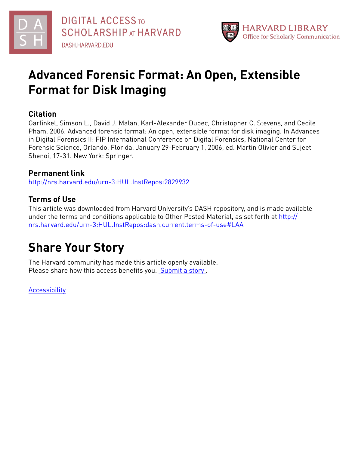



# **Advanced Forensic Format: An Open, Extensible Format for Disk Imaging**

# **Citation**

Garfinkel, Simson L., David J. Malan, Karl-Alexander Dubec, Christopher C. Stevens, and Cecile Pham. 2006. Advanced forensic format: An open, extensible format for disk imaging. In Advances in Digital Forensics II: FIP International Conference on Digital Forensics, National Center for Forensic Science, Orlando, Florida, January 29-February 1, 2006, ed. Martin Olivier and Sujeet Shenoi, 17-31. New York: Springer.

# **Permanent link**

<http://nrs.harvard.edu/urn-3:HUL.InstRepos:2829932>

# **Terms of Use**

This article was downloaded from Harvard University's DASH repository, and is made available under the terms and conditions applicable to Other Posted Material, as set forth at [http://](http://nrs.harvard.edu/urn-3:HUL.InstRepos:dash.current.terms-of-use#LAA) [nrs.harvard.edu/urn-3:HUL.InstRepos:dash.current.terms-of-use#LAA](http://nrs.harvard.edu/urn-3:HUL.InstRepos:dash.current.terms-of-use#LAA)

# **Share Your Story**

The Harvard community has made this article openly available. Please share how this access benefits you. [Submit](http://osc.hul.harvard.edu/dash/open-access-feedback?handle=&title=Advanced%20Forensic%20Format:%20An%20Open,%20Extensible%20Format%20for%20Disk%20Imaging&community=1/1&collection=1/2&owningCollection1/2&harvardAuthors=c1eed407bdf880bfc0d0e84943781a57&departmentEngineering%20and%20Applied%20Sciences) a story.

**[Accessibility](https://dash.harvard.edu/pages/accessibility)**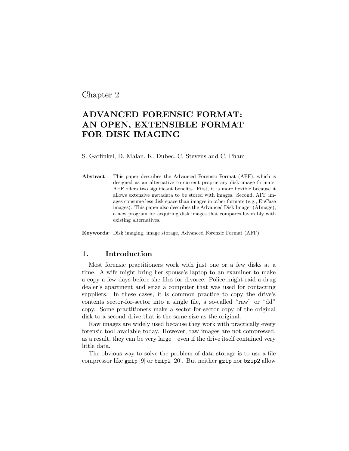## Chapter 2

# ADVANCED FORENSIC FORMAT: AN OPEN, EXTENSIBLE FORMAT FOR DISK IMAGING

S. Garfinkel, D. Malan, K. Dubec, C. Stevens and C. Pham

Abstract This paper describes the Advanced Forensic Format (AFF), which is designed as an alternative to current proprietary disk image formats. AFF offers two significant benefits. First, it is more flexible because it allows extensive metadata to be stored with images. Second, AFF images consume less disk space than images in other formats (e.g., EnCase images). This paper also describes the Advanced Disk Imager (AImage), a new program for acquiring disk images that compares favorably with existing alternatives.

Keywords: Disk imaging, image storage, Advanced Forensic Format (AFF)

#### 1. Introduction

Most forensic practitioners work with just one or a few disks at a time. A wife might bring her spouse's laptop to an examiner to make a copy a few days before she files for divorce. Police might raid a drug dealer's apartment and seize a computer that was used for contacting suppliers. In these cases, it is common practice to copy the drive's contents sector-for-sector into a single file, a so-called "raw" or "dd" copy. Some practitioners make a sector-for-sector copy of the original disk to a second drive that is the same size as the original.

Raw images are widely used because they work with practically every forensic tool available today. However, raw images are not compressed, as a result, they can be very large—even if the drive itself contained very little data.

The obvious way to solve the problem of data storage is to use a file compressor like gzip [9] or bzip2 [20]. But neither gzip nor bzip2 allow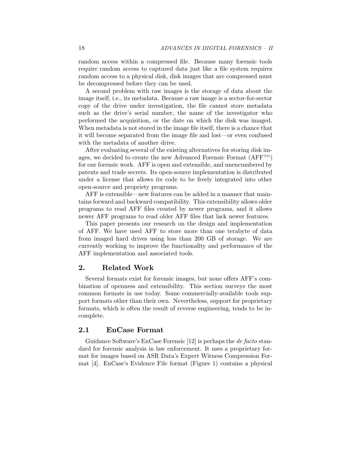random access within a compressed file. Because many forensic tools require random access to captured data just like a file system requires random access to a physical disk, disk images that are compressed must be decompressed before they can be used.

A second problem with raw images is the storage of data about the image itself, i.e., its metadata. Because a raw image is a sector-for-sector copy of the drive under investigation, the file cannot store metadata such as the drive's serial number, the name of the investigator who performed the acquisition, or the date on which the disk was imaged. When metadata is not stored in the image file itself, there is a chance that it will become separated from the image file and lost—or even confused with the metadata of another drive.

After evaluating several of the existing alternatives for storing disk images, we decided to create the new Advanced Forensic Format  $(AFF^{TM})$ for our forensic work. AFF is open and extensible, and unencumbered by patents and trade secrets. Its open-source implementation is distributed under a license that allows its code to be freely integrated into other open-source and propriety programs.

AFF is extensible—new features can be added in a manner that maintains forward and backward compatibility. This extensibility allows older programs to read AFF files created by newer programs, and it allows newer AFF programs to read older AFF files that lack newer features.

This paper presents our research on the design and implementation of AFF. We have used AFF to store more than one terabyte of data from imaged hard drives using less than 200 GB of storage. We are currently working to improve the functionality and performance of the AFF implementation and associated tools.

## 2. Related Work

Several formats exist for forensic images, but none offers AFF's combination of openness and extensibility. This section surveys the most common formats in use today. Some commercially-available tools support formats other than their own. Nevertheless, support for proprietary formats, which is often the result of reverse engineering, tends to be incomplete.

#### 2.1 EnCase Format

Guidance Software's EnCase Forensic [12] is perhaps the de facto standard for forensic analysis in law enforcement. It uses a proprietary format for images based on ASR Data's Expert Witness Compression Format [4]. EnCase's Evidence File format (Figure 1) contains a physical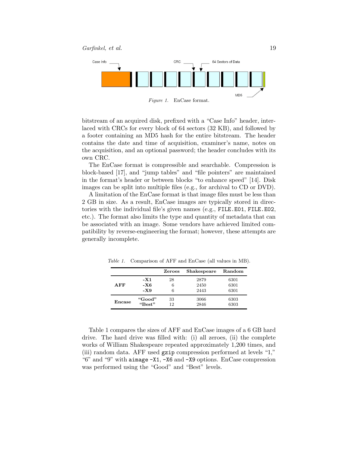

Figure 1. EnCase format.

bitstream of an acquired disk, prefixed with a "Case Info" header, interlaced with CRCs for every block of 64 sectors (32 KB), and followed by a footer containing an MD5 hash for the entire bitstream. The header contains the date and time of acquisition, examiner's name, notes on the acquisition, and an optional password; the header concludes with its own CRC.

The EnCase format is compressible and searchable. Compression is block-based [17], and "jump tables" and "file pointers" are maintained in the format's header or between blocks "to enhance speed" [14]. Disk images can be split into multiple files (e.g., for archival to CD or DVD).

A limitation of the EnCase format is that image files must be less than 2 GB in size. As a result, EnCase images are typically stored in directories with the individual file's given names (e.g., FILE.E01, FILE.E02, etc.). The format also limits the type and quantity of metadata that can be associated with an image. Some vendors have achieved limited compatibility by reverse-engineering the format; however, these attempts are generally incomplete.

|            |        | <b>Zeroes</b> | Shakespeare | Random |
|------------|--------|---------------|-------------|--------|
| <b>AFF</b> | $-X1$  | 28            | 2879        | 6301   |
|            | -X6    | 6             | 2450        | 6301   |
|            | -X9    | 6             | 2443        | 6301   |
| Encase     | "Good" | 33            | 3066        | 6303   |
|            | "Best" | 12            | 2846        | 6303   |

Table 1. Comparison of AFF and EnCase (all values in MB).

Table 1 compares the sizes of AFF and EnCase images of a 6 GB hard drive. The hard drive was filled with: (i) all zeroes, (ii) the complete works of William Shakespeare repeated approximately 1,200 times, and (iii) random data. AFF used gzip compression performed at levels "1," "6" and "9" with aimage -X1, -X6 and -X9 options. EnCase compression was performed using the "Good" and "Best" levels.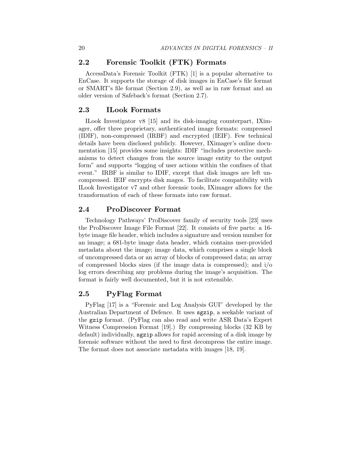### 2.2 Forensic Toolkit (FTK) Formats

AccessData's Forensic Toolkit (FTK) [1] is a popular alternative to EnCase. It supports the storage of disk images in EnCase's file format or SMART's file format (Section 2.9), as well as in raw format and an older version of Safeback's format (Section 2.7).

#### 2.3 ILook Formats

ILook Investigator v8 [15] and its disk-imaging counterpart, IXimager, offer three proprietary, authenticated image formats: compressed (IDIF), non-compressed (IRBF) and encrypted (IEIF). Few technical details have been disclosed publicly. However, IXimager's online documentation [15] provides some insights: IDIF "includes protective mechanisms to detect changes from the source image entity to the output form" and supports "logging of user actions within the confines of that event." IRBF is similar to IDIF, except that disk images are left uncompressed. IEIF encrypts disk mages. To facilitate compatibility with ILook Investigator v7 and other forensic tools, IXimager allows for the transformation of each of these formats into raw format.

#### 2.4 ProDiscover Format

Technology Pathways' ProDiscover family of security tools [23] uses the ProDiscover Image File Format [22]. It consists of five parts: a 16 byte image file header, which includes a signature and version number for an image; a 681-byte image data header, which contains user-provided metadata about the image; image data, which comprises a single block of uncompressed data or an array of blocks of compressed data; an array of compressed blocks sizes (if the image data is compressed); and i/o log errors describing any problems during the image's acquisition. The format is fairly well documented, but it is not extensible.

### 2.5 PyFlag Format

PyFlag [17] is a "Forensic and Log Analysis GUI" developed by the Australian Department of Defence. It uses sgzip, a seekable variant of the gzip format. (PyFlag can also read and write ASR Data's Expert Witness Compression Format [19].) By compressing blocks (32 KB by default) individually, sgzip allows for rapid accessing of a disk image by forensic software without the need to first decompress the entire image. The format does not associate metadata with images [18, 19].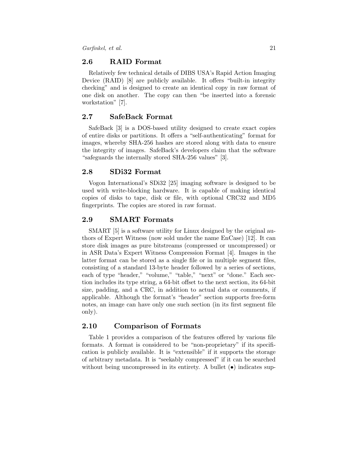#### 2.6 RAID Format

Relatively few technical details of DIBS USA's Rapid Action Imaging Device (RAID) [8] are publicly available. It offers "built-in integrity checking" and is designed to create an identical copy in raw format of one disk on another. The copy can then "be inserted into a forensic workstation" [7].

#### 2.7 SafeBack Format

SafeBack [3] is a DOS-based utility designed to create exact copies of entire disks or partitions. It offers a "self-authenticating" format for images, whereby SHA-256 hashes are stored along with data to ensure the integrity of images. SafeBack's developers claim that the software "safeguards the internally stored SHA-256 values" [3].

#### 2.8 SDi32 Format

Vogon International's SDi32 [25] imaging software is designed to be used with write-blocking hardware. It is capable of making identical copies of disks to tape, disk or file, with optional CRC32 and MD5 fingerprints. The copies are stored in raw format.

#### 2.9 SMART Formats

SMART [5] is a software utility for Linux designed by the original authors of Expert Witness (now sold under the name EnCase) [12]. It can store disk images as pure bitstreams (compressed or uncompressed) or in ASR Data's Expert Witness Compression Format [4]. Images in the latter format can be stored as a single file or in multiple segment files, consisting of a standard 13-byte header followed by a series of sections, each of type "header," "volume," "table," "next" or "done." Each section includes its type string, a 64-bit offset to the next section, its 64-bit size, padding, and a CRC, in addition to actual data or comments, if applicable. Although the format's "header" section supports free-form notes, an image can have only one such section (in its first segment file only).

#### 2.10 Comparison of Formats

Table 1 provides a comparison of the features offered by various file formats. A format is considered to be "non-proprietary" if its specification is publicly available. It is "extensible" if it supports the storage of arbitrary metadata. It is "seekably compressed" if it can be searched without being uncompressed in its entirety. A bullet  $(\bullet)$  indicates sup-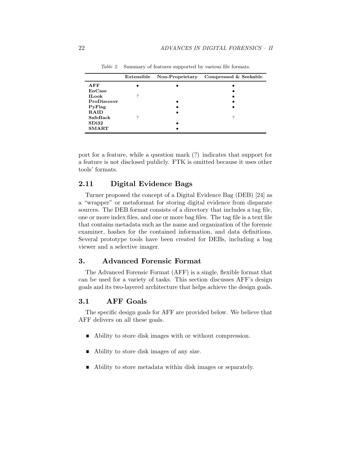|                 | Extensible | Non-Proprietary | Compressed & Seekable |
|-----------------|------------|-----------------|-----------------------|
| AFF             |            |                 |                       |
| EnCase          |            |                 |                       |
| <b>ILook</b>    |            |                 |                       |
| ProDiscover     |            |                 |                       |
| PyFlag          |            |                 |                       |
| <b>RAID</b>     |            |                 |                       |
| <b>SafeBack</b> |            |                 |                       |
| SDi32           |            |                 |                       |
| <b>SMART</b>    |            |                 |                       |

Table 2. Summary of features supported by various file formats.

port for a feature, while a question mark (?) indicates that support for a feature is not disclosed publicly. FTK is omitted because it uses other tools' formats.

#### 2.11 Digital Evidence Bags

Turner proposed the concept of a Digital Evidence Bag (DEB) [24] as a "wrapper" or metaformat for storing digital evidence from disparate sources. The DEB format consists of a directory that includes a tag file, one or more index files, and one or more bag files. The tag file is a text file that contains metadata such as the name and organization of the forensic examiner, hashes for the contained information, and data definitions. Several prototype tools have been created for DEBs, including a bag viewer and a selective imager.

#### 3. Advanced Forensic Format

The Advanced Forensic Format (AFF) is a single, flexible format that can be used for a variety of tasks. This section discusses AFF's design goals and its two-layered architecture that helps achieve the design goals.

#### 3.1 AFF Goals

The specific design goals for AFF are provided below. We believe that AFF delivers on all these goals.

- Ability to store disk images with or without compression.
- Ability to store disk images of any size.  $\blacksquare$
- Ability to store metadata within disk images or separately.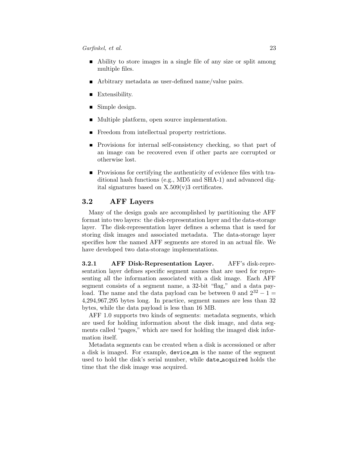- Ability to store images in a single file of any size or split among multiple files.
- Arbitrary metadata as user-defined name/value pairs.
- Extensibility.
- Simple design.  $\blacksquare$
- Multiple platform, open source implementation. П
- Freedom from intellectual property restrictions.
- Provisions for internal self-consistency checking, so that part of an image can be recovered even if other parts are corrupted or otherwise lost.
- **Provisions for certifying the authenticity of evidence files with tra**ditional hash functions (e.g., MD5 and SHA-1) and advanced digital signatures based on  $X.509(v)3$  certificates.

## 3.2 AFF Layers

Many of the design goals are accomplished by partitioning the AFF format into two layers: the disk-representation layer and the data-storage layer. The disk-representation layer defines a schema that is used for storing disk images and associated metadata. The data-storage layer specifies how the named AFF segments are stored in an actual file. We have developed two data-storage implementations.

3.2.1 AFF Disk-Representation Layer. AFF's disk-representation layer defines specific segment names that are used for representing all the information associated with a disk image. Each AFF segment consists of a segment name, a 32-bit "flag," and a data payload. The name and the data payload can be between 0 and  $2^{32} - 1 =$ 4,294,967,295 bytes long. In practice, segment names are less than 32 bytes, while the data payload is less than 16 MB.

AFF 1.0 supports two kinds of segments: metadata segments, which are used for holding information about the disk image, and data segments called "pages," which are used for holding the imaged disk information itself.

Metadata segments can be created when a disk is accessioned or after a disk is imaged. For example, device sn is the name of the segment used to hold the disk's serial number, while date acquired holds the time that the disk image was acquired.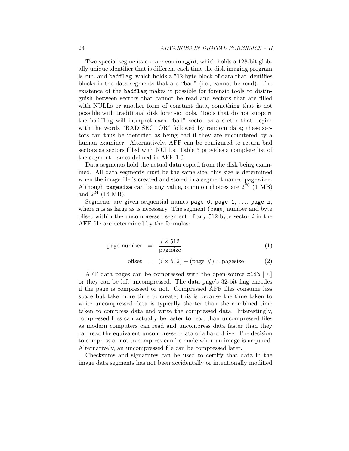Two special segments are accession gid, which holds a 128-bit globally unique identifier that is different each time the disk imaging program is run, and badflag, which holds a 512-byte block of data that identifies blocks in the data segments that are "bad" (i.e., cannot be read). The existence of the badflag makes it possible for forensic tools to distinguish between sectors that cannot be read and sectors that are filled with NULLs or another form of constant data, something that is not possible with traditional disk forensic tools. Tools that do not support the badflag will interpret each "bad" sector as a sector that begins with the words "BAD SECTOR" followed by random data; these sectors can thus be identified as being bad if they are encountered by a human examiner. Alternatively, AFF can be configured to return bad sectors as sectors filled with NULLs. Table 3 provides a complete list of the segment names defined in AFF 1.0.

Data segments hold the actual data copied from the disk being examined. All data segments must be the same size; this size is determined when the image file is created and stored in a segment named pagesize. Although pagesize can be any value, common choices are  $2^{20}$  (1 MB) and  $2^{24}$  (16 MB).

Segments are given sequential names page 0, page 1, ..., page n, where n is as large as is necessary. The segment (page) number and byte offset within the uncompressed segment of any  $512$ -byte sector i in the AFF file are determined by the formulas:

page number = 
$$
\frac{i \times 512}{\text{pagesize}} \tag{1}
$$

offset = 
$$
(i \times 512) - (page \#) \times pagesize
$$
 (2)

AFF data pages can be compressed with the open-source zlib [10] or they can be left uncompressed. The data page's 32-bit flag encodes if the page is compressed or not. Compressed AFF files consume less space but take more time to create; this is because the time taken to write uncompressed data is typically shorter than the combined time taken to compress data and write the compressed data. Interestingly, compressed files can actually be faster to read than uncompressed files as modern computers can read and uncompress data faster than they can read the equivalent uncompressed data of a hard drive. The decision to compress or not to compress can be made when an image is acquired. Alternatively, an uncompressed file can be compressed later.

Checksums and signatures can be used to certify that data in the image data segments has not been accidentally or intentionally modified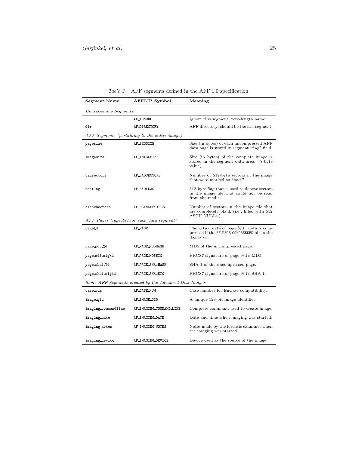| <b>Segment Name</b>   | <b>AFFLIB</b> Symbol                                  | Meaning                                                                                                     |
|-----------------------|-------------------------------------------------------|-------------------------------------------------------------------------------------------------------------|
| Housekeeping Segments |                                                       |                                                                                                             |
|                       | AF_IGNORE                                             | Ignore this segment; zero-length name.                                                                      |
| dir                   | AF DIRECTORY                                          | AFF directory; should be the last segment.                                                                  |
|                       | AFF Segments (pertaining to the entire image)         |                                                                                                             |
| pagesize              | AF SEGSIZE                                            | Size (in bytes) of each uncompressed AFF<br>data page is stored in segment "flag" field.                    |
| imagesize             | AF IMAGESIZE                                          | Size (in bytes) of the complete image is<br>stored in the segment data area. (8-byte<br>value).             |
| badsectors            | AF BADSECTORS                                         | Number of 512-byte sectors in the image<br>that were marked as "bad."                                       |
| badflag               | AF BADFLAG                                            | 512-byte flag that is used to denote sectors<br>in the image file that could not be read<br>from the media. |
| blanksectors          | AF BLANKSECTORS                                       | Number of sectors in the image file that<br>are completely blank (i.e., filled with 512<br>ASCII NULLS.)    |
|                       | AFF Pages (repeated for each data segment)            |                                                                                                             |
| page%d                | AF PAGE                                               | The actual data of page %d. Data is com-<br>pressed if the AF PAGE COMPRESSED bit in the<br>flag is set.    |
| page md5 %d           | AF PAGE MD5HASH                                       | MD <sub>5</sub> of the uncompressed page.                                                                   |
| page md5 sig%d        | AF PAGE MD5SIG                                        | PKCS7 signature of page %d's MD5.                                                                           |
| page_sha1 %d          | AF PAGE SHA1HASH                                      | SHA-1 of the uncompressed page.                                                                             |
| page_sha1_sig%d       | AF PAGE SHA1SIG                                       | PKCS7 signature of page %d's SHA-1.                                                                         |
|                       | Some AFF Segments created by the Advanced Disk Imager |                                                                                                             |
| case_num              | AF CASE NUM                                           | Case number for EnCase compatibility.                                                                       |
| image_gid             | AF IMAGE GID                                          | A unique 128-bit image identifier.                                                                          |
| imaging_commandline   | AF IMAGING COMMAND LINE                               | Complete command used to create image.                                                                      |
| imaging date          | AF IMAGING DATE                                       | Date and time when imaging was started.                                                                     |
| imaging notes         | AF IMAGING NOTES                                      | Notes made by the forensic examiner when<br>the imaging was started.                                        |
| imaging device        | AF IMAGING DEVICE                                     | Device used as the source of the image.                                                                     |

Table 3. AFF segments defined in the AFF 1.0 specification.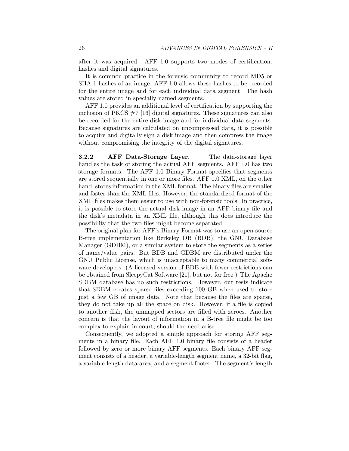after it was acquired. AFF 1.0 supports two modes of certification: hashes and digital signatures.

It is common practice in the forensic community to record MD5 or SHA-1 hashes of an image. AFF 1.0 allows these hashes to be recorded for the entire image and for each individual data segment. The hash values are stored in specially named segments.

AFF 1.0 provides an additional level of certification by supporting the inclusion of PKCS #7 [16] digital signatures. These signatures can also be recorded for the entire disk image and for individual data segments. Because signatures are calculated on uncompressed data, it is possible to acquire and digitally sign a disk image and then compress the image without compromising the integrity of the digital signatures.

3.2.2 AFF Data-Storage Layer. The data-storage layer handles the task of storing the actual AFF segments. AFF 1.0 has two storage formats. The AFF 1.0 Binary Format specifies that segments are stored sequentially in one or more files. AFF 1.0 XML, on the other hand, stores information in the XML format. The binary files are smaller and faster than the XML files. However, the standardized format of the XML files makes them easier to use with non-forensic tools. In practice, it is possible to store the actual disk image in an AFF binary file and the disk's metadata in an XML file, although this does introduce the possibility that the two files might become separated.

The original plan for AFF's Binary Format was to use an open-source B-tree implementation like Berkeley DB (BDB), the GNU Database Manager (GDBM), or a similar system to store the segments as a series of name/value pairs. But BDB and GDBM are distributed under the GNU Public License, which is unacceptable to many commercial software developers. (A licensed version of BDB with fewer restrictions can be obtained from SleepyCat Software [21], but not for free.) The Apache SDBM database has no such restrictions. However, our tests indicate that SDBM creates sparse files exceeding 100 GB when used to store just a few GB of image data. Note that because the files are sparse, they do not take up all the space on disk. However, if a file is copied to another disk, the unmapped sectors are filled with zeroes. Another concern is that the layout of information in a B-tree file might be too complex to explain in court, should the need arise.

Consequently, we adopted a simple approach for storing AFF segments in a binary file. Each AFF 1.0 binary file consists of a header followed by zero or more binary AFF segments. Each binary AFF segment consists of a header, a variable-length segment name, a 32-bit flag, a variable-length data area, and a segment footer. The segment's length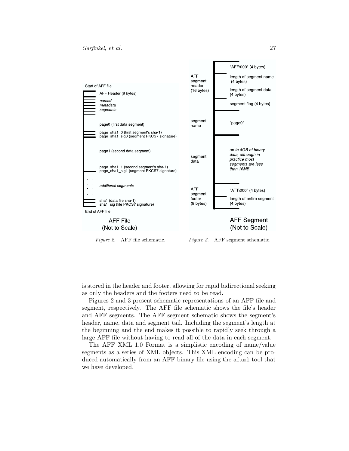

Figure 2. AFF file schematic. Figure 3. AFF segment schematic.

is stored in the header and footer, allowing for rapid bidirectional seeking as only the headers and the footers need to be read.

Figures 2 and 3 present schematic representations of an AFF file and segment, respectively. The AFF file schematic shows the file's header and AFF segments. The AFF segment schematic shows the segment's header, name, data and segment tail. Including the segment's length at the beginning and the end makes it possible to rapidly seek through a large AFF file without having to read all of the data in each segment.

The AFF XML 1.0 Format is a simplistic encoding of name/value segments as a series of XML objects. This XML encoding can be produced automatically from an AFF binary file using the  $\texttt{afxml}$  tool that we have developed.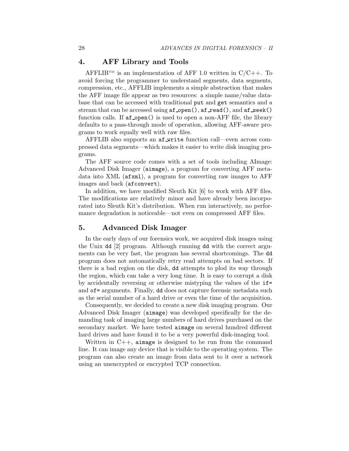### 4. AFF Library and Tools

AFFLIB<sup>TM</sup> is an implementation of AFF 1.0 written in  $C/C++$ . To avoid forcing the programmer to understand segments, data segments, compression, etc., AFFLIB implements a simple abstraction that makes the AFF image file appear as two resources: a simple name/value database that can be accessed with traditional put and get semantics and a stream that can be accessed using af \_open(), af \_read(), and af \_seek() function calls. If  $af\_open()$  is used to open a non-AFF file, the library defaults to a pass-through mode of operation, allowing AFF-aware programs to work equally well with raw files.

AFFLIB also supports an af write function call—even across compressed data segments—which makes it easier to write disk imaging programs.

The AFF source code comes with a set of tools including AImage: Advanced Disk Imager (aimage), a program for converting AFF metadata into XML (afxml), a program for converting raw images to AFF images and back (afconvert).

In addition, we have modified Sleuth Kit [6] to work with AFF files. The modifications are relatively minor and have already been incorporated into Sleuth Kit's distribution. When run interactively, no performance degradation is noticeable—not even on compressed AFF files.

#### 5. Advanced Disk Imager

In the early days of our forensics work, we acquired disk images using the Unix dd [2] program. Although running dd with the correct arguments can be very fast, the program has several shortcomings. The dd program does not automatically retry read attempts on bad sectors. If there is a bad region on the disk, dd attempts to plod its way through the region, which can take a very long time. It is easy to corrupt a disk by accidentally reversing or otherwise mistyping the values of the if= and of= arguments. Finally, dd does not capture forensic metadata such as the serial number of a hard drive or even the time of the acquisition.

Consequently, we decided to create a new disk imaging program. Our Advanced Disk Imager (aimage) was developed specifically for the demanding task of imaging large numbers of hard drives purchased on the secondary market. We have tested aimage on several hundred different hard drives and have found it to be a very powerful disk-imaging tool.

Written in  $C++$ , aimage is designed to be run from the command line. It can image any device that is visible to the operating system. The program can also create an image from data sent to it over a network using an unencrypted or encrypted TCP connection.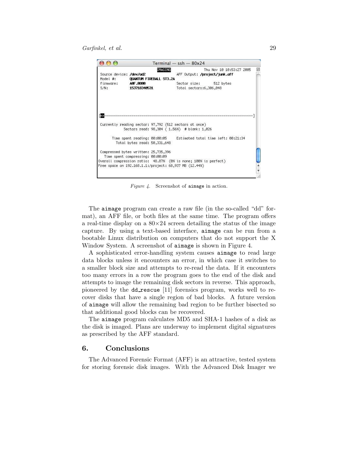|                         | IMAGING                                                      | $Terminal - ssh - 80x24$<br>s<br>Thu Nov 10 10:53:27 2005       |
|-------------------------|--------------------------------------------------------------|-----------------------------------------------------------------|
| Source device: /dev/ad2 |                                                              | AFF Output: /project/junk.aff                                   |
| $Model$ #:              | <b>QUANTUM FIREBALL ST3.2A</b>                               |                                                                 |
| firmware:               | ARF 8888                                                     | Sector size: 512 bytes                                          |
| S/N:                    | 153718340531                                                 | Total sectors:6,306,048                                         |
|                         |                                                              |                                                                 |
|                         | Currently reading sector: 97,792 (512 sectors at once)       | Sectors read: 98,304 (1.56%) # blank: 1,026                     |
|                         | Time spent reading: 00:00:05<br>Total bytes read: 50,331,648 | Estimated total time left: 00:21:34                             |
|                         | Compressed bytes written: 25,735,396                         |                                                                 |
|                         | Time spent compressing: 00:00:09                             |                                                                 |
|                         | Free space on 192.168.1.1:/project: 68,937 MB (12.44%)       | Overall compression ratio: 48.87% (0% is none; 100% is perfect) |

Figure 4. Screenshot of aimage in action.

The aimage program can create a raw file (in the so-called "dd" format), an AFF file, or both files at the same time. The program offers a real-time display on a  $80\times24$  screen detailing the status of the image capture. By using a text-based interface, aimage can be run from a bootable Linux distribution on computers that do not support the X Window System. A screenshot of aimage is shown in Figure 4.

A sophisticated error-handling system causes aimage to read large data blocks unless it encounters an error, in which case it switches to a smaller block size and attempts to re-read the data. If it encounters too many errors in a row the program goes to the end of the disk and attempts to image the remaining disk sectors in reverse. This approach, pioneered by the dd rescue [11] forensics program, works well to recover disks that have a single region of bad blocks. A future version of aimage will allow the remaining bad region to be further bisected so that additional good blocks can be recovered.

The aimage program calculates MD5 and SHA-1 hashes of a disk as the disk is imaged. Plans are underway to implement digital signatures as prescribed by the AFF standard.

#### 6. Conclusions

The Advanced Forensic Format (AFF) is an attractive, tested system for storing forensic disk images. With the Advanced Disk Imager we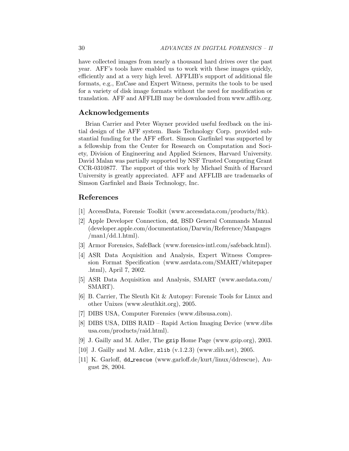have collected images from nearly a thousand hard drives over the past year. AFF's tools have enabled us to work with these images quickly, efficiently and at a very high level. AFFLIB's support of additional file formats, e.g., EnCase and Expert Witness, permits the tools to be used for a variety of disk image formats without the need for modification or translation. AFF and AFFLIB may be downloaded from www.afflib.org.

#### Acknowledgements

Brian Carrier and Peter Wayner provided useful feedback on the initial design of the AFF system. Basis Technology Corp. provided substantial funding for the AFF effort. Simson Garfinkel was supported by a fellowship from the Center for Research on Computation and Society, Division of Engineering and Applied Sciences, Harvard University. David Malan was partially supported by NSF Trusted Computing Grant CCR-0310877. The support of this work by Michael Smith of Harvard University is greatly appreciated. AFF and AFFLIB are trademarks of Simson Garfinkel and Basis Technology, Inc.

### References

- [1] AccessData, Forensic Toolkit (www.accessdata.com/products/ftk).
- [2] Apple Developer Connection, dd, BSD General Commands Manual (developer.apple.com/documentation/Darwin/Reference/Manpages  $/\text{man1}/\text{dd}.1.html$ .
- [3] Armor Forensics, SafeBack (www.forensics-intl.com/safeback.html).
- [4] ASR Data Acquisition and Analysis, Expert Witness Compression Format Specification (www.asrdata.com/SMART/whitepaper .html), April 7, 2002.
- [5] ASR Data Acquisition and Analysis, SMART (www.asrdata.com/ SMART).
- [6] B. Carrier, The Sleuth Kit & Autopsy: Forensic Tools for Linux and other Unixes (www.sleuthkit.org), 2005.
- [7] DIBS USA, Computer Forensics (www.dibsusa.com).
- [8] DIBS USA, DIBS RAID Rapid Action Imaging Device (www.dibs usa.com/products/raid.html).
- [9] J. Gailly and M. Adler, The gzip Home Page (www.gzip.org), 2003.
- [10] J. Gailly and M. Adler, zlib (v.1.2.3) (www.zlib.net), 2005.
- [11] K. Garloff, dd rescue (www.garloff.de/kurt/linux/ddrescue), August 28, 2004.